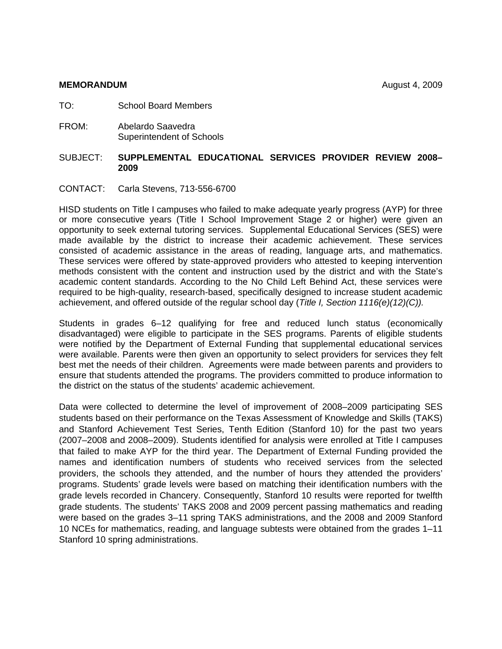#### **MEMORANDUM** August 4, 2009

- TO: School Board Members
- FROM:Abelardo Saavedra Superintendent of Schools

# SUBJECT: **SUPPLEMENTAL EDUCATIONAL SERVICES PROVIDER REVIEW 2008– 2009**

CONTACT: Carla Stevens, 713-556-6700

HISD students on Title I campuses who failed to make adequate yearly progress (AYP) for three or more consecutive years (Title I School Improvement Stage 2 or higher) were given an opportunity to seek external tutoring services. Supplemental Educational Services (SES) were made available by the district to increase their academic achievement. These services consisted of academic assistance in the areas of reading, language arts, and mathematics. These services were offered by state-approved providers who attested to keeping intervention methods consistent with the content and instruction used by the district and with the State's academic content standards. According to the No Child Left Behind Act, these services were required to be high-quality, research-based, specifically designed to increase student academic achievement, and offered outside of the regular school day (*Title I, Section 1116(e)(12)(C)).*

Students in grades 6–12 qualifying for free and reduced lunch status (economically disadvantaged) were eligible to participate in the SES programs. Parents of eligible students were notified by the Department of External Funding that supplemental educational services were available. Parents were then given an opportunity to select providers for services they felt best met the needs of their children. Agreements were made between parents and providers to ensure that students attended the programs. The providers committed to produce information to the district on the status of the students' academic achievement.

Data were collected to determine the level of improvement of 2008–2009 participating SES students based on their performance on the Texas Assessment of Knowledge and Skills (TAKS) and Stanford Achievement Test Series, Tenth Edition (Stanford 10) for the past two years (2007–2008 and 2008–2009). Students identified for analysis were enrolled at Title I campuses that failed to make AYP for the third year. The Department of External Funding provided the names and identification numbers of students who received services from the selected providers, the schools they attended, and the number of hours they attended the providers' programs. Students' grade levels were based on matching their identification numbers with the grade levels recorded in Chancery. Consequently, Stanford 10 results were reported for twelfth grade students. The students' TAKS 2008 and 2009 percent passing mathematics and reading were based on the grades 3–11 spring TAKS administrations, and the 2008 and 2009 Stanford 10 NCEs for mathematics, reading, and language subtests were obtained from the grades 1–11 Stanford 10 spring administrations.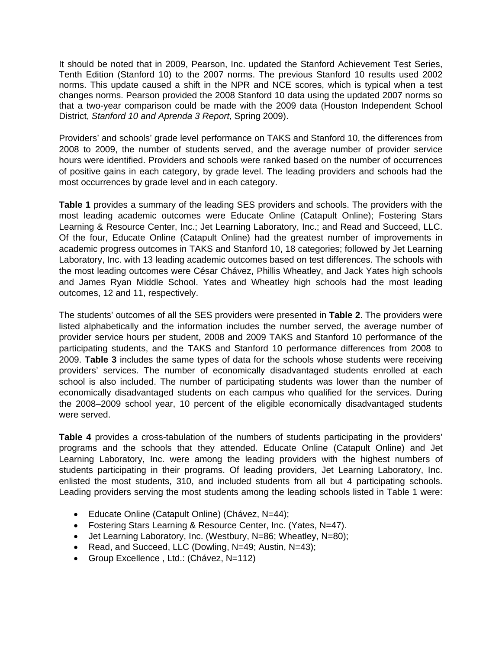It should be noted that in 2009, Pearson, Inc. updated the Stanford Achievement Test Series, Tenth Edition (Stanford 10) to the 2007 norms. The previous Stanford 10 results used 2002 norms. This update caused a shift in the NPR and NCE scores, which is typical when a test changes norms. Pearson provided the 2008 Stanford 10 data using the updated 2007 norms so that a two-year comparison could be made with the 2009 data (Houston Independent School District, *Stanford 10 and Aprenda 3 Report*, Spring 2009).

Providers' and schools' grade level performance on TAKS and Stanford 10, the differences from 2008 to 2009, the number of students served, and the average number of provider service hours were identified. Providers and schools were ranked based on the number of occurrences of positive gains in each category, by grade level. The leading providers and schools had the most occurrences by grade level and in each category.

**Table 1** provides a summary of the leading SES providers and schools. The providers with the most leading academic outcomes were Educate Online (Catapult Online); Fostering Stars Learning & Resource Center, Inc.; Jet Learning Laboratory, Inc.; and Read and Succeed, LLC. Of the four, Educate Online (Catapult Online) had the greatest number of improvements in academic progress outcomes in TAKS and Stanford 10, 18 categories; followed by Jet Learning Laboratory, Inc. with 13 leading academic outcomes based on test differences. The schools with the most leading outcomes were César Chávez, Phillis Wheatley, and Jack Yates high schools and James Ryan Middle School. Yates and Wheatley high schools had the most leading outcomes, 12 and 11, respectively.

The students' outcomes of all the SES providers were presented in **Table 2**. The providers were listed alphabetically and the information includes the number served, the average number of provider service hours per student, 2008 and 2009 TAKS and Stanford 10 performance of the participating students, and the TAKS and Stanford 10 performance differences from 2008 to 2009. **Table 3** includes the same types of data for the schools whose students were receiving providers' services. The number of economically disadvantaged students enrolled at each school is also included. The number of participating students was lower than the number of economically disadvantaged students on each campus who qualified for the services. During the 2008–2009 school year, 10 percent of the eligible economically disadvantaged students were served.

**Table 4** provides a cross-tabulation of the numbers of students participating in the providers' programs and the schools that they attended. Educate Online (Catapult Online) and Jet Learning Laboratory, Inc. were among the leading providers with the highest numbers of students participating in their programs. Of leading providers, Jet Learning Laboratory, Inc. enlisted the most students, 310, and included students from all but 4 participating schools. Leading providers serving the most students among the leading schools listed in Table 1 were:

- Educate Online (Catapult Online) (Chávez, N=44);
- Fostering Stars Learning & Resource Center, Inc. (Yates, N=47).
- Jet Learning Laboratory, Inc. (Westbury, N=86; Wheatley, N=80);
- Read, and Succeed, LLC (Dowling, N=49; Austin, N=43);
- Group Excellence , Ltd.: (Chávez, N=112)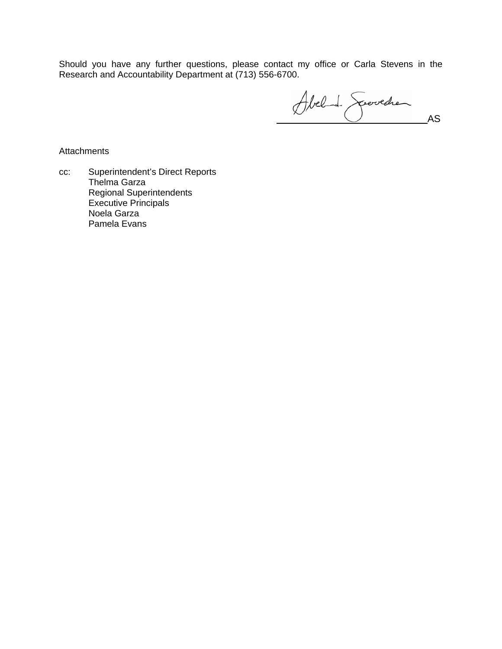Should you have any further questions, please contact my office or Carla Stevens in the Research and Accountability Department at (713) 556-6700.

Abel de Spoolchen

**Attachments** 

cc: Superintendent's Direct Reports Thelma Garza Regional Superintendents Executive Principals Noela Garza Pamela Evans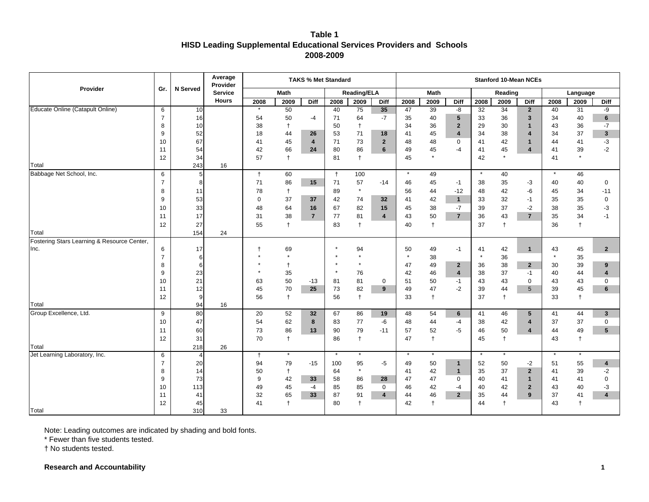# **Table 1 HISD Leading Supplemental Educational Services Providers and Schools 2008-2009**

|                                                     |                     |                | Average<br>Provider |                |               |                         | <b>TAKS % Met Standard</b> |               |                |               |             |                         |               |            | <b>Stanford 10-Mean NCEs</b> |                |                |                         |
|-----------------------------------------------------|---------------------|----------------|---------------------|----------------|---------------|-------------------------|----------------------------|---------------|----------------|---------------|-------------|-------------------------|---------------|------------|------------------------------|----------------|----------------|-------------------------|
| Provider                                            | Gr.                 | N Served       | <b>Service</b>      |                | <b>Math</b>   |                         |                            | Reading/ELA   |                |               | <b>Math</b> |                         |               | Reading    |                              |                | Language       |                         |
|                                                     |                     |                | <b>Hours</b>        | 2008           | 2009          | Diff                    | 2008                       | 2009          | Diff           | 2008          | 2009        | Diff                    | 2008          | 2009       | Diff                         | 2008           | 2009           | Diff                    |
| Educate Online (Catapult Online)                    | 6                   | 10             |                     | $\star$        | 50            |                         | 40                         | 75            | 35             | 47            | 39          | -8                      | 32            | 34         | $\overline{2}$               | 40             | 31             | -9                      |
|                                                     | $\overline{7}$      | 16             |                     | 54             | 50            | -4                      | 71                         | 64            | $-7$           | 35            | 40          | $5\phantom{.0}$         | 33            | 36         | $\mathbf{3}$                 | 34             | 40             | 6                       |
|                                                     | 8                   | 10             |                     | 38             | $\ddagger$    |                         | 50                         | $\ddagger$    |                | 34            | 36          | $\overline{2}$          | 29            | 30         | $\mathbf{1}$                 | 43             | 36             | $-7$                    |
|                                                     | 9                   | 52             |                     | 18             | 44            | 26                      | 53                         | 71            | 18             | 41            | 45          | $\overline{\mathbf{4}}$ | 34            | 38         | $\boldsymbol{A}$             | 34             | 37             | $\mathbf{3}$            |
|                                                     | 10                  | 67             |                     | 41             | 45            | $\overline{\mathbf{4}}$ | 71                         | 73            | $\overline{2}$ | 48            | 48          | $\mathbf 0$             | 41            | 42         | $\mathbf{1}$                 | 44             | 41             | $-3$                    |
|                                                     | 11                  | 54             |                     | 42             | 66            | 24                      | 80                         | 86            | 6              | 49            | 45          | $-4$                    | 41            | 45         | $\overline{\mathbf{A}}$      | 41             | 39             | $-2$                    |
|                                                     | 12                  | 34             |                     | 57             | $\ddagger$    |                         | 81                         | $\ddagger$    |                | 45            | $\star$     |                         | 42            | $^\star$   |                              | 41             | $\star$        |                         |
| Total                                               |                     | 243            | 16                  |                |               |                         |                            |               |                |               |             |                         |               |            |                              |                |                |                         |
| Babbage Net School, Inc.                            | 6                   | 5              |                     | $\ddagger$     | 60            |                         | $\ddagger$                 | 100           |                | $\star$       | 49          |                         | $\star$       | 40         |                              | $\pmb{\ast}$   | 46             |                         |
|                                                     | $\overline{7}$      | 8              |                     | 71             | 86            | 15                      | 71                         | 57            | $-14$          | 46            | 45          | $-1$                    | 38            | 35         | $-3$                         | 40             | 40             | $\mathbf 0$             |
|                                                     | 8                   | 11             |                     | 78             | $\ddagger$    |                         | 89                         | $^\star$      |                | 56            | 44          | $-12$                   | 48            | 42         | -6                           | 45             | 34             | $-11$                   |
|                                                     | 9                   | 53             |                     | $\Omega$       | 37            | 37                      | 42                         | 74            | 32             | 41            | 42          | $\mathbf{1}$            | 33            | 32         | $-1$                         | 35             | 35             | $\mathbf 0$             |
|                                                     | 10                  | 33             |                     | 48             | 64            | 16                      | 67                         | 82            | 15             | 45            | 38          | $-7$                    | 39            | 37         | $-2$                         | 38             | 35             | -3                      |
|                                                     | 11                  | 17             |                     | 31             | 38            | $\overline{7}$          | 77                         | 81            | 4              | 43            | 50          | $\overline{7}$          | 36            | 43         | $\overline{7}$               | 35             | 34             | $-1$                    |
|                                                     | 12                  | 27             |                     | 55             | $\ddagger$    |                         | 83                         | $\ddagger$    |                | 40            | $\ddagger$  |                         | 37            | $^\dagger$ |                              | 36             | $^\dagger$     |                         |
| Total                                               |                     | 154            | 24                  |                |               |                         |                            |               |                |               |             |                         |               |            |                              |                |                |                         |
| Fostering Stars Learning & Resource Center,<br>Inc. |                     | 17             |                     | $\overline{1}$ |               |                         | ×                          |               |                |               |             |                         |               |            |                              |                |                |                         |
|                                                     | 6<br>$\overline{7}$ | 6              |                     |                | 69<br>$\star$ |                         |                            | 94<br>$\star$ |                | 50<br>$\star$ | 49<br>38    | $-1$                    | 41<br>$\star$ | 42<br>36   | $\mathbf{1}$                 | 43<br>$^\star$ | 45<br>35       | $\overline{2}$          |
|                                                     | 8                   | 6              |                     |                | $\ddagger$    |                         |                            | $\star$       |                | 47            | 49          | $\mathbf{2}$            | 36            | 38         | $\mathbf{2}$                 | 30             | 39             | 9                       |
|                                                     | 9                   | 23             |                     |                | 35            |                         | $\star$                    | 76            |                | 42            | 46          | $\overline{\mathbf{4}}$ | 38            | 37         | $-1$                         | 40             | 44             | $\overline{\mathbf{4}}$ |
|                                                     | 10                  | 21             |                     | 63             | 50            | $-13$                   | 81                         | 81            | $\mathbf 0$    | 51            | 50          | $-1$                    | 43            | 43         | $\Omega$                     | 43             | 43             | $\mathbf 0$             |
|                                                     | 11                  | 12             |                     | 45             | 70            | 25                      | 73                         | 82            | 9              | 49            | 47          | $-2$                    | 39            | 44         | 5                            | 39             | 45             | 6                       |
|                                                     | 12                  | 9              |                     | 56             | $\ddagger$    |                         | 56                         | $\ddagger$    |                | 33            | $\ddagger$  |                         | 37            | $\ddagger$ |                              | 33             | $\ddagger$     |                         |
| Total                                               |                     | 94             | 16                  |                |               |                         |                            |               |                |               |             |                         |               |            |                              |                |                |                         |
| Group Excellence, Ltd.                              | 9                   | 80             |                     | 20             | 52            | 32                      | 67                         | 86            | 19             | 48            | 54          | 6                       | 41            | 46         | 5                            | 41             | 44             | $\mathbf{3}$            |
|                                                     | 10                  | 47             |                     | 54             | 62            | 8                       | 83                         | 77            | -6             | 48            | 44          | $-4$                    | 38            | 42         | $\boldsymbol{A}$             | 37             | 37             | $\mathbf 0$             |
|                                                     | 11                  | 60             |                     | 73             | 86            | 13                      | 90                         | 79            | $-11$          | 57            | 52          | $-5$                    | 46            | 50         | 4                            | 44             | 49             | 5 <sup>5</sup>          |
|                                                     | 12                  | 31             |                     | 70             | $\ddagger$    |                         | 86                         | $^\dagger$    |                | 47            | $\ddagger$  |                         | 45            | $^\dagger$ |                              | 43             | $\overline{1}$ |                         |
| Total                                               |                     | 218            | 26                  |                |               |                         |                            |               |                |               |             |                         |               |            |                              |                |                |                         |
| Jet Learning Laboratory, Inc.                       | 6                   | $\overline{4}$ |                     | $\ddagger$     | $\star$       |                         | $\star$                    | $\star$       |                | $\star$       | $\star$     |                         | $\star$       | $\star$    |                              | $^\star$       | $\star$        |                         |
|                                                     | $\overline{7}$      | 20             |                     | 94             | 79            | $-15$                   | 100                        | 95            | -5             | 49            | 50          | $\mathbf{1}$            | 52            | 50         | -2                           | 51             | 55             | 4                       |
|                                                     | 8                   | 14             |                     | 50             | $\ddagger$    |                         | 64                         | $^\star$      |                | 41            | 42          | $\mathbf{1}$            | 35            | 37         | $\overline{2}$               | 41             | 39             | $-2$                    |
|                                                     | 9                   | 73             |                     | 9              | 42            | 33                      | 58                         | 86            | 28             | 47            | 47          | $\mathbf 0$             | 40            | 41         | $\mathbf{1}$                 | 41             | 41             | $\mathbf 0$             |
|                                                     | 10                  | 113            |                     | 49             | 45            | $-4$                    | 85                         | 85            | $\mathbf 0$    | 46            | 42          | $-4$                    | 40            | 42         | $\overline{2}$               | 43             | 40             | -3                      |
|                                                     | 11                  | 41             |                     | 32             | 65            | 33                      | 87                         | 91            | 4              | 44            | 46          | $\mathbf{2}$            | 35            | 44         | 9                            | 37             | 41             | 4                       |
|                                                     | 12                  | 45             |                     | 41             | $\ddagger$    |                         | 80                         | $\ddagger$    |                | 42            | $\ddagger$  |                         | 44            | $\ddagger$ |                              | 43             | $\ddagger$     |                         |
| Total                                               |                     | 310            | 33                  |                |               |                         |                            |               |                |               |             |                         |               |            |                              |                |                |                         |

Note: Leading outcomes are indicated by shading and bold fonts.

\* Fewer than five students tested.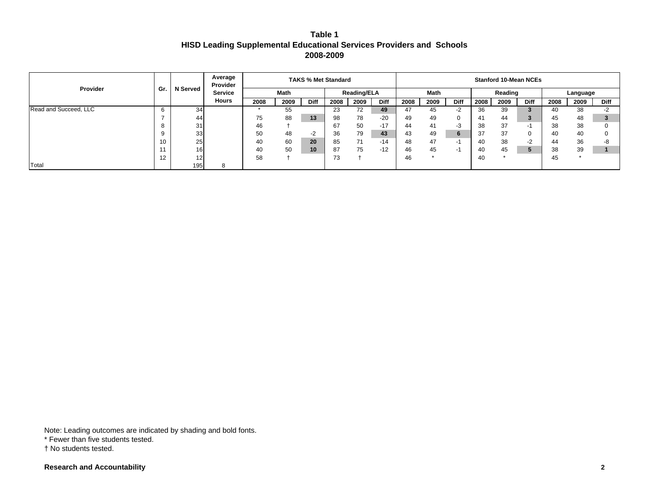| Table 1                                                               |  |
|-----------------------------------------------------------------------|--|
| HISD Leading Supplemental Educational Services Providers and  Schools |  |
| 2008-2009                                                             |  |

|                       |     |                 | Average<br>Provider |      |             | <b>TAKS % Met Standard</b> |      |                    |       |      |      |             |      | <b>Stanford 10-Mean NCEs</b> |             |      |          |             |
|-----------------------|-----|-----------------|---------------------|------|-------------|----------------------------|------|--------------------|-------|------|------|-------------|------|------------------------------|-------------|------|----------|-------------|
| Provider              | Gr. | <b>N</b> Served | <b>Service</b>      |      | <b>Math</b> |                            |      | <b>Reading/ELA</b> |       |      | Math |             |      | Reading                      |             |      | Language |             |
|                       |     |                 | <b>Hours</b>        | 2008 | 2009        | <b>Diff</b>                | 2008 | 2009               | Diff  | 2008 | 2009 | <b>Diff</b> | 2008 | 2009                         | <b>Diff</b> | 2008 | 2009     | <b>Diff</b> |
| Read and Succeed, LLC | b   | 34              |                     |      | 55          |                            | 23   | 72                 | 49    | 47   | 45   | $-2$        | 36   | 39                           |             | 40   | 38       | -2          |
|                       |     | 44              |                     | 75   | 88          | 13                         | 98   | 78                 | $-20$ | 49   | 49   | 0           | 41   | 44                           |             | 45   | 48       |             |
|                       | ŏ   | 31              |                     | 46   |             |                            | 67   | 50                 | $-17$ | 44   | 41   | -3          | 38   | 37                           |             | 38   | 38       |             |
|                       | റ   | 33              |                     | 50   | 48          | $-2$                       | 36   | 79                 | 43    | 43   | 49   | 6           | 37   | 37                           | 0           | 40   | 40       |             |
|                       | 10  | 25              |                     | 40   | 60          | 20                         | 85   | 71                 | $-14$ | 48   | 47   | - 1         | 40   | 38                           | $-2$        | 44   | 36       | -8          |
|                       |     | 16 <sup>1</sup> |                     | 40   | 50          | 10                         | 87   | 75                 | $-12$ | 46   | 45   | - 1         | 40   | 45                           |             | 38   | 39       |             |
|                       | 12  | 12              |                     | 58   |             |                            | 73   |                    |       | 46   |      |             | 40   |                              |             | 45   |          |             |
| Total                 |     | 195             |                     |      |             |                            |      |                    |       |      |      |             |      |                              |             |      |          |             |

Note: Leading outcomes are indicated by shading and bold fonts.

\* Fewer than five students tested.

† No students tested.

**Research and Accountability 2**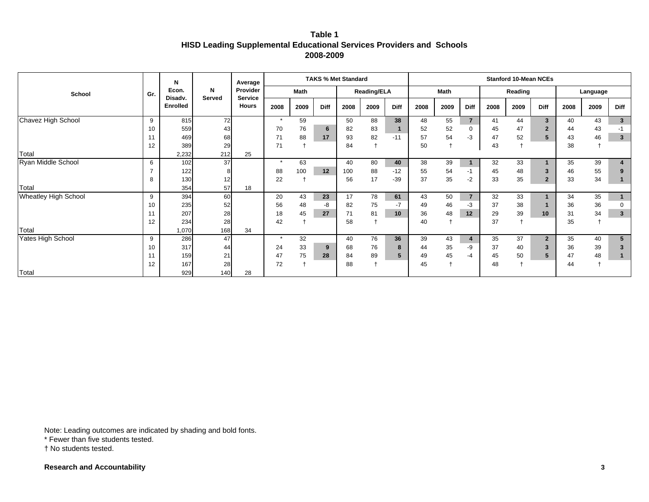# **Table 1 HISD Leading Supplemental Educational Services Providers and Schools 2008-2009**

|                             |     | N                |                  | Average                    |         |             |      | <b>TAKS % Met Standard</b> |                    |              |      |      |                |      | <b>Stanford 10-Mean NCEs</b> |                |      |          |                         |
|-----------------------------|-----|------------------|------------------|----------------------------|---------|-------------|------|----------------------------|--------------------|--------------|------|------|----------------|------|------------------------------|----------------|------|----------|-------------------------|
| School                      | Gr. | Econ.<br>Disadv. | N<br>Served      | Provider<br><b>Service</b> |         | <b>Math</b> |      |                            | <b>Reading/ELA</b> |              |      | Math |                |      | Reading                      |                |      | Language |                         |
|                             |     | <b>Enrolled</b>  |                  | <b>Hours</b>               | 2008    | 2009        | Diff | 2008                       | 2009               | <b>Diff</b>  | 2008 | 2009 | Diff           | 2008 | 2009                         | <b>Diff</b>    | 2008 | 2009     | Diff                    |
| Chavez High School          | 9   | 815              | 72               |                            | $\star$ | 59          |      | 50                         | 88                 | 38           | 48   | 55   | $\overline{7}$ | 41   | 44                           | $\mathbf{3}$   | 40   | 43       | 3 <sup>1</sup>          |
|                             | 10  | 559              | 43               |                            | 70      | 76          | 6    | 82                         | 83                 | $\mathbf{1}$ | 52   | 52   | $\mathbf 0$    | 45   | 47                           | $\overline{2}$ | 44   | 43       | $-1$                    |
|                             | 11  | 469              | 68               |                            | 71      | 88          | 17   | 93                         | 82                 | $-11$        | 57   | 54   | $-3$           | 47   | 52                           | 5              | 43   | 46       | $\mathbf{3}$            |
|                             | 12  | 389              | 29               |                            | 71      |             |      | 84                         |                    |              | 50   |      |                | 43   |                              |                | 38   |          |                         |
| Total                       |     | 2,232            | 212              | 25                         |         |             |      |                            |                    |              |      |      |                |      |                              |                |      |          |                         |
| Ryan Middle School          | 6   | 102              | 37               |                            | $\star$ | 63          |      | 40                         | 80                 | 40           | 38   | 39   | $\overline{1}$ | 32   | 33                           |                | 35   | 39       | $\overline{\mathbf{4}}$ |
|                             |     | 122              |                  |                            | 88      | 100         | 12   | 100                        | 88                 | $-12$        | 55   | 54   | $-1$           | 45   | 48                           | 3              | 46   | 55       | 9                       |
|                             | 8   | 130              | 12               |                            | 22      |             |      | 56                         | 17                 | $-39$        | 37   | 35   | $-2$           | 33   | 35                           | $\overline{2}$ | 33   | 34       | $\mathbf{1}$            |
| Total                       |     | 354              | 57               | 18                         |         |             |      |                            |                    |              |      |      |                |      |                              |                |      |          |                         |
| <b>Wheatley High School</b> | 9   | 394              | 60               |                            | 20      | 43          | 23   | 17                         | 78                 | 61           | 43   | 50   | $\overline{7}$ | 32   | 33                           |                | 34   | 35       | 1                       |
|                             | 10  | 235              | 52               |                            | 56      | 48          | -8   | 82                         | 75                 | $-7$         | 49   | 46   | $-3$           | 37   | 38                           |                | 36   | 36       | 0                       |
|                             | 11  | 207              | 28               |                            | 18      | 45          | 27   | 71                         | 81                 | 10           | 36   | 48   | 12             | 29   | 39                           | 10             | 31   | 34       | $\mathbf{3}$            |
|                             | 12  | 234              | 28               |                            | 42      |             |      | 58                         |                    |              | 40   |      |                | 37   |                              |                | 35   |          |                         |
| Total                       |     | 1,070            | 168              | 34                         |         |             |      |                            |                    |              |      |      |                |      |                              |                |      |          |                         |
| Yates High School           | 9   | 286              | 47               |                            | $\star$ | 32          |      | 40                         | 76                 | 36           | 39   | 43   | $\overline{4}$ | 35   | 37                           | $\overline{2}$ | 35   | 40       | 5                       |
|                             | 10  | 317              | 44               |                            | 24      | 33          | 9    | 68                         | 76                 | 8            | 44   | 35   | -9             | 37   | 40                           | 3              | 36   | 39       | 3                       |
|                             | 11  | 159              | 21               |                            | 47      | 75          | 28   | 84                         | 89                 | 5            | 49   | 45   | $-4$           | 45   | 50                           | 5              | 47   | 48       | $\mathbf{1}$            |
|                             | 12  | 167              | 28               |                            | 72      |             |      | 88                         |                    |              | 45   |      |                | 48   |                              |                | 44   |          |                         |
| Total                       |     | 929              | 140 <sup>l</sup> | 28                         |         |             |      |                            |                    |              |      |      |                |      |                              |                |      |          |                         |

Note: Leading outcomes are indicated by shading and bold fonts.

\* Fewer than five students tested.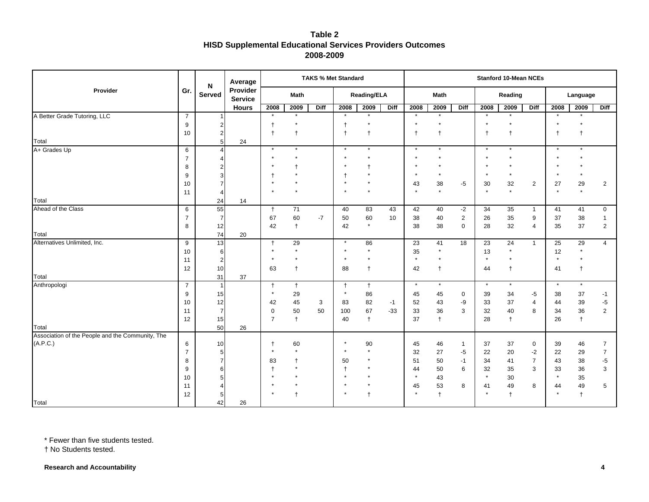|                                                           |                | N               | Average                    |                |              | <b>TAKS % Met Standard</b> |                       |                    |       |               |               |                |               | <b>Stanford 10-Mean NCEs</b> |                |               |               |                |
|-----------------------------------------------------------|----------------|-----------------|----------------------------|----------------|--------------|----------------------------|-----------------------|--------------------|-------|---------------|---------------|----------------|---------------|------------------------------|----------------|---------------|---------------|----------------|
| Provider                                                  | Gr.            | Served          | Provider<br><b>Service</b> |                | <b>Math</b>  |                            |                       | <b>Reading/ELA</b> |       |               | <b>Math</b>   |                |               | Reading                      |                |               | Language      |                |
|                                                           |                |                 | <b>Hours</b>               | 2008           | 2009         | <b>Diff</b>                | 2008                  | 2009               | Diff  | 2008          | 2009          | Diff           | 2008          | 2009                         | <b>Diff</b>    | 2008          | 2009          | <b>Diff</b>    |
| A Better Grade Tutoring, LLC                              | $\overline{7}$ |                 |                            | $\star$        | $\star$      |                            | $\star$               | $\star$            |       | $\star$       | $\star$       |                | $\star$       | $\star$                      |                | $\star$       | $\star$       |                |
|                                                           | 9              |                 |                            |                |              |                            | $\ddagger$            |                    |       |               |               |                |               |                              |                |               |               |                |
|                                                           | 10             |                 |                            | $\ddagger$     | $\ddagger$   |                            | $\ddagger$            | $\ddagger$         |       | $^\mathrm{+}$ | $\ddagger$    |                | $\mathsf{t}$  | $\mathsf{t}$                 |                |               |               |                |
| Total                                                     |                | 5 <sup>1</sup>  | 24                         |                |              |                            |                       |                    |       |               |               |                |               |                              |                |               |               |                |
| A+ Grades Up                                              | 6              |                 |                            | $\star$        | $\star$      |                            | $\star$               | $\star$            |       | $\star$       | $\star$       |                | $\star$       | $\star$                      |                | $\star$       | $\star$       |                |
|                                                           | $\overline{7}$ |                 |                            |                |              |                            |                       |                    |       |               |               |                |               |                              |                |               |               |                |
|                                                           | 8              |                 |                            |                | $\star$      |                            |                       |                    |       |               | $\star$       |                | $\star$       | $\star$                      |                |               | $\star$       |                |
|                                                           | 9              |                 |                            | $\ddagger$     |              |                            | $\ddagger$<br>$\star$ |                    |       |               |               |                |               |                              |                |               |               |                |
|                                                           | 10<br>11       | 4               |                            |                |              |                            |                       |                    |       | 43            | 38<br>$\star$ | $-5$           | 30<br>$\star$ | 32<br>$\star$                | $\overline{2}$ | 27<br>$\star$ | 29<br>$\star$ | $\overline{2}$ |
| Total                                                     |                | 24              | 14                         |                |              |                            |                       |                    |       |               |               |                |               |                              |                |               |               |                |
| Ahead of the Class                                        | 6              | 55              |                            | $\ddagger$     | 71           |                            | 40                    | 83                 | 43    | 42            | 40            | $-2$           | 34            | 35                           | $\mathbf{1}$   | 41            | 41            | 0              |
|                                                           | $\overline{7}$ | $\overline{7}$  |                            | 67             | 60           | $-7$                       | 50                    | 60                 | 10    | 38            | 40            | $\overline{2}$ | 26            | 35                           | 9              | 37            | 38            | $\mathbf{1}$   |
|                                                           | 8              | 12              |                            | 42             | $\ddagger$   |                            | 42                    | $\star$            |       | 38            | 38            | $\mathbf 0$    | 28            | 32                           | $\overline{4}$ | 35            | 37            | $\overline{2}$ |
| Total                                                     |                | 74              | 20                         |                |              |                            |                       |                    |       |               |               |                |               |                              |                |               |               |                |
| Alternatives Unlimited, Inc.                              | 9              | 13              |                            | $\ddagger$     | 29           |                            | $\star$               | 86                 |       | 23            | 41            | 18             | 23            | 24                           | $\mathbf{1}$   | 25            | 29            | $\overline{4}$ |
|                                                           | 10             | 6               |                            |                |              |                            | $\star$               |                    |       | 35            | $\star$       |                | 13            |                              |                | 12            | $\star$       |                |
|                                                           | 11             | $\overline{a}$  |                            |                |              |                            | $\star$               | $\star$            |       | $\star$       | $\star$       |                | $\star$       | $\star$                      |                | $\star$       | $\star$       |                |
|                                                           | 12             | 10              |                            | 63             | $\ddagger$   |                            | 88                    | $\ddagger$         |       | 42            | $\ddagger$    |                | 44            | $\ddagger$                   |                | 41            | t             |                |
| Total                                                     |                | 31              | 37                         |                |              |                            |                       |                    |       |               |               |                |               |                              |                |               |               |                |
| Anthropologi                                              | $\overline{7}$ | $\mathbf{1}$    |                            | $\ddagger$     | $\ddagger$   |                            | $^\dagger$            | $\ddagger$         |       | $\star$       | $\star$       |                | $\star$       | $\star$                      |                | $\star$       | $\star$       |                |
|                                                           | 9              | 15              |                            | $\star$        | 29           |                            | $\star$               | 86                 |       | 45            | 45            | $\mathbf 0$    | 39            | 34                           | -5             | 38            | 37            | $-1$           |
|                                                           | 10             | 12              |                            | 42             | 45           | 3                          | 83                    | 82                 | $-1$  | 52            | 43            | -9             | 33            | 37                           | $\overline{4}$ | 44            | 39            | $-5$           |
|                                                           | 11             | $\overline{7}$  |                            | $\mathbf 0$    | 50           | 50                         | 100                   | 67                 | $-33$ | 33            | 36            | 3              | 32            | 40                           | 8              | 34            | 36            | $\overline{2}$ |
|                                                           | 12             | 15              |                            | $\overline{7}$ | $\ddagger$   |                            | 40                    | $\ddagger$         |       | 37            | $\ddagger$    |                | 28            | $\ddagger$                   |                | 26            | $^\dagger$    |                |
| Total<br>Association of the People and the Community, The |                | 50              | 26                         |                |              |                            |                       |                    |       |               |               |                |               |                              |                |               |               |                |
| (A.P.C.)                                                  | $\,6\,$        | 10              |                            | $^{\dagger}$   | 60           |                            | $\star$               | 90                 |       | 45            | 46            | $\mathbf{1}$   | 37            | 37                           | $\mathbf 0$    | 39            | 46            | $\overline{7}$ |
|                                                           | $\overline{7}$ | $5\overline{)}$ |                            | $\star$        | $\star$      |                            | $\star$               |                    |       | 32            | 27            | $-5$           | 22            | 20                           | $-2$           | 22            | 29            | $\overline{7}$ |
|                                                           | 8              |                 |                            | 83             | $\ddagger$   |                            | 50                    |                    |       | 51            | 50            | $-1$           | 34            | 41                           | $\overline{7}$ | 43            | 38            | $-5$           |
|                                                           | 9              |                 |                            |                | $\star$      |                            | $^\mathrm{+}$         |                    |       | 44            | 50            | 6              | 32            | 35                           | 3              | 33            | 36            | 3              |
|                                                           | 10             |                 |                            |                |              |                            | $\star$               |                    |       | $\star$       | 43            |                | $\star$       | 30                           |                | $\star$       | 35            |                |
|                                                           | 11             |                 |                            |                |              |                            | $\star$               |                    |       | 45            | 53            | 8              | 41            | 49                           | 8              | 44            | 49            | 5              |
|                                                           | 12             |                 |                            |                | $\mathsf{f}$ |                            | $\star$               | $\ddagger$         |       |               | $\ddagger$    |                |               | $\ddagger$                   |                |               | $\ddagger$    |                |
| Total                                                     |                | 42              | 26                         |                |              |                            |                       |                    |       |               |               |                |               |                              |                |               |               |                |

\* Fewer than five students tested.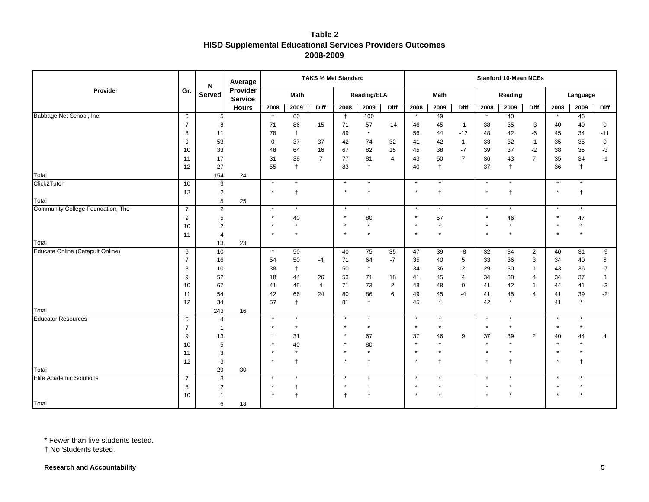|                                   |                | N              | Average                    |                |                      |                | <b>TAKS % Met Standard</b> |               |                |         |               |                |         | <b>Stanford 10-Mean NCEs</b> |                |         |               |                          |
|-----------------------------------|----------------|----------------|----------------------------|----------------|----------------------|----------------|----------------------------|---------------|----------------|---------|---------------|----------------|---------|------------------------------|----------------|---------|---------------|--------------------------|
| Provider                          | Gr.            | Served         | Provider<br><b>Service</b> |                | <b>Math</b>          |                |                            | Reading/ELA   |                |         | Math          |                |         | Reading                      |                |         | Language      |                          |
|                                   |                |                | <b>Hours</b>               | 2008           | 2009                 | <b>Diff</b>    | 2008                       | 2009          | <b>Diff</b>    | 2008    | 2009          | Diff           | 2008    | 2009                         | <b>Diff</b>    | 2008    | 2009          | <b>Diff</b>              |
| Babbage Net School, Inc.          | 6              | 5              |                            | $\ddagger$     | 60                   |                | $\ddagger$                 | 100           |                | $\star$ | 49            |                | $\star$ | 40                           |                | $\star$ | 46            |                          |
|                                   | $\overline{7}$ | 8              |                            | 71             | 86                   | 15             | 71                         | 57            | $-14$          | 46      | 45            | $-1$           | 38      | 35                           | $-3$           | 40      | 40            | $\mathbf 0$              |
|                                   | 8              | 11             |                            | 78             | $\ddagger$           |                | 89                         | $\star$       |                | 56      | 44            | $-12$          | 48      | 42                           | -6             | 45      | 34            | $-11$                    |
|                                   | 9              | 53             |                            | $\mathbf 0$    | 37                   | 37             | 42                         | 74            | 32             | 41      | 42            | $\mathbf{1}$   | 33      | 32                           | $-1$           | 35      | 35            | $\mathbf 0$              |
|                                   | 10             | 33             |                            | 48             | 64                   | 16             | 67                         | 82            | 15             | 45      | 38            | $-7$           | 39      | 37                           | $-2$           | 38      | 35            | -3                       |
|                                   | 11             | 17             |                            | 31             | 38                   | $\overline{7}$ | 77                         | 81            | $\overline{4}$ | 43      | 50            | $\overline{7}$ | 36      | 43                           | $\overline{7}$ | 35      | 34            | $-1$                     |
|                                   | 12             | 27             |                            | 55             | $\ddagger$           |                | 83                         | $\ddagger$    |                | 40      | $^\dagger$    |                | 37      | $\ddagger$                   |                | 36      | $^\mathrm{+}$ |                          |
| Total                             |                | 154            | 24                         |                |                      |                |                            |               |                |         |               |                |         |                              |                |         |               |                          |
| Click2Tutor                       | 10             | 3              |                            | $\star$        | $\star$              |                | $\star$                    | $\star$       |                | $\star$ | $\star$       |                | $\star$ |                              |                |         | $\star$       |                          |
|                                   | 12             | $\overline{2}$ |                            | $\star$        | $\ddagger$           |                | $\star$                    | $\ddagger$    |                | $\star$ | $\ddagger$    |                | $\star$ | $\ddagger$                   |                |         | $\ddagger$    |                          |
| Total                             |                | 5 <sub>5</sub> | 25                         | $\star$        | $\star$              |                | $\star$                    | $\star$       |                | $\star$ | $\star$       |                | $\star$ | $\star$                      |                |         | $\star$       |                          |
| Community College Foundation, The | $\overline{7}$ | $\overline{2}$ |                            |                |                      |                |                            |               |                |         |               |                |         |                              |                |         |               |                          |
|                                   | 9              |                |                            |                | 40<br>$\star$        |                |                            | 80<br>$\star$ |                |         | 57<br>$\star$ |                |         | 46<br>$\star$                |                |         | 47            |                          |
|                                   | 10             |                |                            |                |                      |                |                            |               |                |         |               |                |         |                              |                |         |               |                          |
| Total                             | 11             | 4<br>13        | 23                         |                |                      |                |                            |               |                |         |               |                |         |                              |                |         |               |                          |
| Educate Online (Catapult Online)  | 6              | 10             |                            | $\star$        | 50                   |                | 40                         | 75            | 35             | 47      | 39            | -8             | 32      | 34                           | $\overline{2}$ | 40      | 31            | -9                       |
|                                   | $\overline{7}$ | 16             |                            | 54             | 50                   | $-4$           | 71                         | 64            | $-7$           | 35      | 40            | 5              | 33      | 36                           | 3              | 34      | 40            | 6                        |
|                                   | 8              | 10             |                            | 38             | $\ddagger$           |                | 50                         | $\ddagger$    |                | 34      | 36            | $\overline{2}$ | 29      | 30                           | $\mathbf{1}$   | 43      | 36            | $-7$                     |
|                                   | 9              | 52             |                            | 18             | 44                   | 26             | 53                         | 71            | 18             | 41      | 45            | $\overline{4}$ | 34      | 38                           | $\overline{4}$ | 34      | 37            | $\sqrt{3}$               |
|                                   | 10             | 67             |                            | 41             | 45                   | $\overline{4}$ | 71                         | 73            | $\overline{2}$ | 48      | 48            | $\mathbf 0$    | 41      | 42                           | $\mathbf{1}$   | 44      | 41            | $-3$                     |
|                                   | 11             | 54             |                            | 42             | 66                   | 24             | 80                         | 86            | 6              | 49      | 45            | $-4$           | 41      | 45                           | $\overline{4}$ | 41      | 39            | $-2$                     |
|                                   | 12             | 34             |                            | 57             | $\ddagger$           |                | 81                         | $\ddagger$    |                | 45      | $\star$       |                | 42      | $\star$                      |                | 41      | $\star$       |                          |
| Total                             |                | 243            | 16                         |                |                      |                |                            |               |                |         |               |                |         |                              |                |         |               |                          |
| <b>Educator Resources</b>         | 6              | $\overline{4}$ |                            | $\ddagger$     | $\star$              |                | $\star$                    | $\star$       |                | $\star$ | $\star$       |                | $\star$ | $\star$                      |                | $\star$ |               |                          |
|                                   | $\overline{7}$ | -1             |                            | $\star$        | $\star$              |                | $\star$                    | $\star$       |                | $\star$ | $\star$       |                | $\star$ | $^\star$                     |                |         |               |                          |
|                                   | 9              | 13             |                            |                | 31                   |                | $\star$                    | 67            |                | 37      | 46            | 9              | 37      | 39                           | $\overline{2}$ | 40      | 44            | $\overline{\mathcal{A}}$ |
|                                   | 10             | 5              |                            |                | 40                   |                | $\star$                    | 80            |                | $\star$ | $\star$       |                | $\star$ | $\star$                      |                |         |               |                          |
|                                   | 11             | 3              |                            |                | $\star$              |                | $\star$                    | $\star$       |                |         | $\star$       |                |         | $\star$                      |                |         |               |                          |
|                                   | 12             | 3              |                            |                | $\mathbf t$          |                | $\star$                    | $\ddagger$    |                | $\star$ | $\ddagger$    |                |         | $\ddagger$                   |                |         | $\ddagger$    |                          |
| Total                             |                | 29             | 30                         |                |                      |                |                            |               |                |         |               |                |         |                              |                |         |               |                          |
| <b>Elite Academic Solutions</b>   | $\overline{7}$ | 3              |                            | $\star$        | $\star$              |                | $\star$                    | $\star$       |                | $\star$ | $\star$       |                | $\star$ |                              |                |         |               |                          |
|                                   | 8              |                |                            |                |                      |                |                            |               |                |         |               |                |         |                              |                |         |               |                          |
|                                   | 10             |                |                            | $\overline{1}$ | $\ddot{\phantom{1}}$ |                | $\ddagger$                 | $\ddagger$    |                |         |               |                |         |                              |                |         |               |                          |
| Total                             |                | 6 <sup>1</sup> | 18                         |                |                      |                |                            |               |                |         |               |                |         |                              |                |         |               |                          |

\* Fewer than five students tested.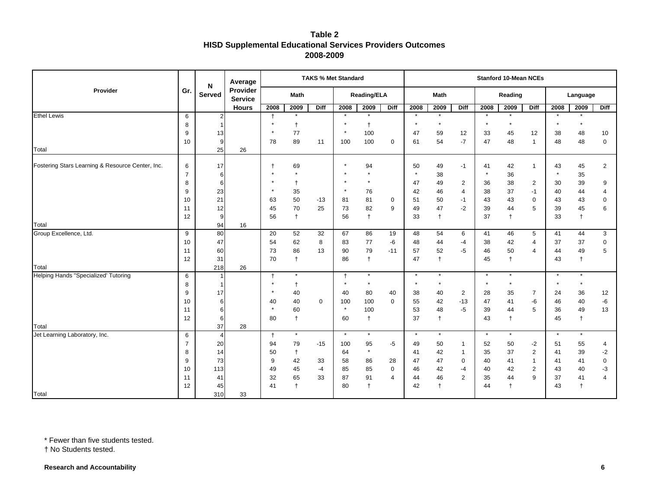|                                                  |                |                    | Average                    |              |                    | <b>TAKS % Met Standard</b> |                       |              |                |          |            |                |         | <b>Stanford 10-Mean NCEs</b> |                |         |            |                |
|--------------------------------------------------|----------------|--------------------|----------------------------|--------------|--------------------|----------------------------|-----------------------|--------------|----------------|----------|------------|----------------|---------|------------------------------|----------------|---------|------------|----------------|
| Provider                                         | Gr.            | N<br><b>Served</b> | Provider<br><b>Service</b> |              | Math               |                            |                       | Reading/ELA  |                |          | Math       |                |         | Reading                      |                |         | Language   |                |
|                                                  |                |                    | <b>Hours</b>               | 2008         | 2009               | <b>Diff</b>                | 2008                  | 2009         | Diff           | 2008     | 2009       | <b>Diff</b>    | 2008    | 2009                         | <b>Diff</b>    | 2008    | 2009       | Diff           |
| <b>Ethel Lewis</b>                               | 6              | 2 <sub>l</sub>     |                            | $\ddagger$   | $\star$            |                            | $\star$               | $\star$      |                | $\star$  | $\star$    |                | $\star$ | $\star$                      |                | $\star$ | $\star$    |                |
|                                                  | 8              |                    |                            |              | $\ddagger$         |                            |                       | $\ddagger$   |                |          | $\star$    |                | $\star$ | $\star$                      |                |         | $\star$    |                |
|                                                  | 9              | 13                 |                            |              | 77                 |                            | $\star$               | 100          |                | 47       | 59         | 12             | 33      | 45                           | 12             | 38      | 48         | 10             |
|                                                  | 10             | 9                  |                            | 78           | 89                 | 11                         | 100                   | 100          | 0              | 61       | 54         | $-7$           | 47      | 48                           | $\overline{1}$ | 48      | 48         | $\mathbf 0$    |
| Total                                            |                | 25                 | 26                         |              |                    |                            |                       |              |                |          |            |                |         |                              |                |         |            |                |
| Fostering Stars Learning & Resource Center, Inc. | 6              | 17                 |                            | $\ddot{}$    | 69                 |                            |                       | 94           |                | 50       | 49         | $-1$           | 41      | 42                           | $\mathbf{1}$   | 43      | 45         | 2              |
|                                                  | $\overline{7}$ | 6                  |                            |              | $\star$            |                            |                       | $\star$      |                |          | 38         |                |         | 36                           |                |         | 35         |                |
|                                                  | 8              | 6                  |                            |              | $\ddagger$         |                            | $\star$               | $\star$      |                | 47       | 49         | $\overline{2}$ | 36      | 38                           | $\overline{2}$ | 30      | 39         | 9              |
|                                                  | 9              | 23                 |                            | $\star$      | 35                 |                            | $\star$               | 76           |                | 42       | 46         | 4              | 38      | 37                           | $-1$           | 40      | 44         | $\overline{4}$ |
|                                                  | 10             | 21                 |                            | 63           | 50                 | $-13$                      | 81                    | 81           | $\mathbf 0$    | 51       | 50         | $-1$           | 43      | 43                           | $\mathbf 0$    | 43      | 43         | $\mathbf 0$    |
|                                                  | 11             | 12                 |                            | 45           | 70                 | 25                         | 73                    | 82           | 9              | 49       | 47         | $-2$           | 39      | 44                           | 5              | 39      | 45         | 6              |
|                                                  | 12             | 9                  |                            | 56           | $\ddagger$         |                            | 56                    | $\ddagger$   |                | 33       | $\ddagger$ |                | 37      | $\ddagger$                   |                | 33      | $^\dagger$ |                |
| Total                                            |                | 94                 | 16                         |              |                    |                            |                       |              |                |          |            |                |         |                              |                |         |            |                |
| Group Excellence, Ltd.                           | 9              | 80                 |                            | 20           | 52                 | 32                         | 67                    | 86           | 19             | 48       | 54         | 6              | 41      | 46                           | 5              | 41      | 44         | 3              |
|                                                  | 10             | 47                 |                            | 54           | 62                 | 8                          | 83                    | 77           | -6             | 48       | 44         | $-4$           | 38      | 42                           | $\overline{4}$ | 37      | 37         | $\mathbf 0$    |
|                                                  | 11             | 60                 |                            | 73           | 86                 | 13                         | 90                    | 79           | $-11$          | 57       | 52         | $-5$           | 46      | 50                           | $\overline{4}$ | 44      | 49         | 5              |
|                                                  | 12             | 31                 |                            | 70           | $\ddagger$         |                            | 86                    | $\ddagger$   |                | 47       | $\ddagger$ |                | 45      | $\ddagger$                   |                | 43      | $\ddagger$ |                |
| Total                                            |                | 218                | 26                         |              | $\star$            |                            |                       | $\star$      |                | $^\star$ | $\star$    |                | $\star$ | $\star$                      |                | $\star$ | $\star$    |                |
| <b>Helping Hands "Specialized' Tutoring</b>      | 6<br>8         | 1<br>$\mathbf{1}$  |                            | $\ddagger$   |                    |                            | $\ddagger$<br>$\star$ | $\star$      |                |          | $\star$    |                | $\star$ | $\star$                      |                | $\star$ | $\star$    |                |
|                                                  | 9              | 17                 |                            |              | $^{\dagger}$<br>40 |                            | 40                    | 80           | 40             | 38       | 40         | $\overline{2}$ | 28      | 35                           | $\overline{7}$ | 24      | 36         | 12             |
|                                                  | 10             | 6                  |                            | 40           | 40                 | $\mathbf 0$                | 100                   | 100          | $\mathbf 0$    | 55       | 42         | $-13$          | 47      | 41                           | -6             | 46      | 40         | $-6$           |
|                                                  | 11             | 6                  |                            |              | 60                 |                            | $\star$               | 100          |                | 53       | 48         | $-5$           | 39      | 44                           | 5              | 36      | 49         | 13             |
|                                                  | 12             | 6                  |                            | 80           | $^{\dagger}$       |                            | 60                    | $^{\dagger}$ |                | 37       | $\ddagger$ |                | 43      | $\ddagger$                   |                | 45      | $\ddagger$ |                |
| Total                                            |                | 37                 | 28                         |              |                    |                            |                       |              |                |          |            |                |         |                              |                |         |            |                |
| Jet Learning Laboratory, Inc.                    | 6              | $\overline{4}$     |                            | $^{\dagger}$ | $^\star$           |                            | $\star$               | $\star$      |                | $^\star$ | $\star$    |                | $\star$ | $\star$                      |                | $\star$ | $\star$    |                |
|                                                  | $\overline{7}$ | 20                 |                            | 94           | 79                 | $-15$                      | 100                   | 95           | -5             | 49       | 50         | 1              | 52      | 50                           | $-2$           | 51      | 55         | $\overline{4}$ |
|                                                  | 8              | 14                 |                            | 50           | $^\dagger$         |                            | 64                    | $\star$      |                | 41       | 42         | $\mathbf{1}$   | 35      | 37                           | $\overline{2}$ | 41      | 39         | $-2$           |
|                                                  | 9              | 73                 |                            | 9            | 42                 | 33                         | 58                    | 86           | 28             | 47       | 47         | 0              | 40      | 41                           | $\mathbf{1}$   | 41      | 41         | $\mathbf 0$    |
|                                                  | 10             | 113                |                            | 49           | 45                 | $-4$                       | 85                    | 85           | $\mathbf 0$    | 46       | 42         | $-4$           | 40      | 42                           | $\overline{2}$ | 43      | 40         | -3             |
|                                                  | 11             | 41                 |                            | 32           | 65                 | 33                         | 87                    | 91           | $\overline{4}$ | 44       | 46         | 2              | 35      | 44                           | 9              | 37      | 41         | $\Delta$       |
|                                                  | 12             | 45                 |                            | 41           | $\ddagger$         |                            | 80                    | $^{\dagger}$ |                | 42       | $\ddagger$ |                | 44      | $\mathsf{t}$                 |                | 43      | $\ddagger$ |                |
| Total                                            |                | 310                | 33                         |              |                    |                            |                       |              |                |          |            |                |         |                              |                |         |            |                |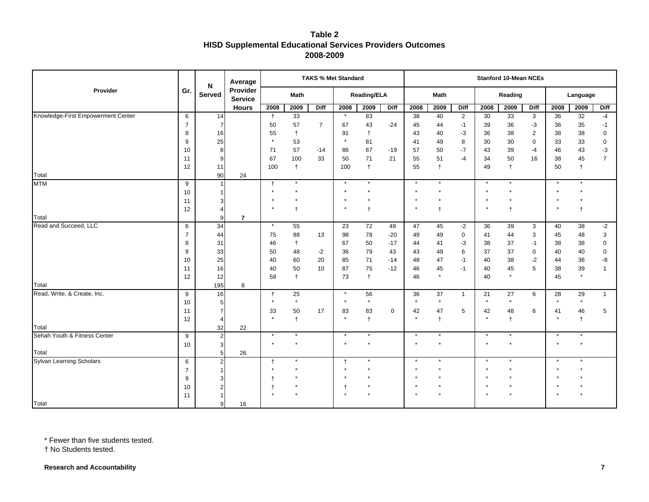|                                    |                | N              | Average                    |                      |            |                | <b>TAKS % Met Standard</b> |                    |                |          |                      |                |          | <b>Stanford 10-Mean NCEs</b> |                |          |               |                    |
|------------------------------------|----------------|----------------|----------------------------|----------------------|------------|----------------|----------------------------|--------------------|----------------|----------|----------------------|----------------|----------|------------------------------|----------------|----------|---------------|--------------------|
| Provider                           | Gr.            | Served         | Provider<br><b>Service</b> |                      | Math       |                |                            | <b>Reading/ELA</b> |                |          | Math                 |                |          | Reading                      |                |          | Language      |                    |
|                                    |                |                | <b>Hours</b>               | 2008                 | 2009       | Diff           | 2008                       | 2009               | <b>Diff</b>    | 2008     | 2009                 | Diff           | 2008     | 2009                         | <b>Diff</b>    | 2008     | 2009          | <b>Diff</b>        |
| Knowledge-First Empowerment Center | 6              | 14             |                            | $\ddagger$           | 33         |                | $\star$                    | 83                 |                | 38       | 40                   | $\overline{2}$ | 30       | 33                           | 3              | 36       | 32            | $-4$               |
|                                    | $\overline{7}$ | 7              |                            | 50                   | 57         | $\overline{7}$ | 67                         | 43                 | $-24$          | 45       | 44                   | $-1$           | 39       | 36                           | -3             | 36       | 35            | $-1$               |
|                                    | 8              | 16             |                            | 55                   | $\ddagger$ |                | 91                         | $\ddagger$         |                | 43       | 40                   | $-3$           | 36       | 38                           | $\overline{2}$ | 38       | 38            | $\pmb{0}$          |
|                                    | 9              | 25             |                            | $\star$              | 53         |                | $\star$                    | 81                 |                | 41       | 49                   | 8              | 30       | 30                           | $\mathbf 0$    | 33       | 33            | $\pmb{0}$          |
|                                    | 10             | 8              |                            | 71                   | 57         | $-14$          | 86                         | 67                 | $-19$          | 57       | 50                   | $-7$           | 43       | 39                           | $-4$           | 46       | 43            | $-3$               |
|                                    | 11             | 9              |                            | 67                   | 100        | 33             | 50                         | 71                 | 21             | 55       | 51                   | $-4$           | 34       | 50                           | 16             | 38       | 45            | $\overline{7}$     |
|                                    | 12             | 11             |                            | 100                  | $\ddagger$ |                | 100                        | $\ddagger$         |                | 55       | $^\dagger$           |                | 49       | $\ddagger$                   |                | 50       | $^\dagger$    |                    |
| Total                              |                | 90             | 24                         |                      |            |                |                            |                    |                |          |                      |                |          |                              |                |          |               |                    |
| <b>MTM</b>                         | 9              | $\mathbf{1}$   |                            | $\ddagger$           |            |                | $\star$                    |                    |                | $\star$  |                      |                |          |                              |                |          |               |                    |
|                                    | 10             |                |                            |                      |            |                | $\star$<br>$\star$         |                    |                |          |                      |                |          |                              |                |          |               |                    |
|                                    | 11             |                |                            |                      |            |                |                            |                    |                |          |                      |                |          |                              |                |          |               |                    |
|                                    | 12             |                |                            |                      | $\ddagger$ |                | $\star$                    | $\overline{1}$     |                |          | $\ddot{\phantom{1}}$ |                |          | $\mathbf +$                  |                |          | $\mathbf t$   |                    |
| Total                              |                | 9              | $\overline{7}$             | $\star$              |            |                |                            |                    |                |          |                      |                |          |                              |                |          |               |                    |
| Read and Succeed, LLC              | 6              | 34             |                            |                      | 55         |                | 23                         | 72                 | 49             | 47       | 45                   | $-2$           | 36       | 39                           | 3              | 40       | 38            | $-2$               |
|                                    | $\overline{7}$ | 44             |                            | 75                   | 88         | 13             | 98                         | 78                 | $-20$          | 49       | 49                   | 0              | 41       | 44                           | 3              | 45       | 48            | 3                  |
|                                    | 8              | 31             |                            | 46                   | $\ddagger$ |                | 67                         | 50                 | $-17$          | 44       | 41                   | $-3$           | 38       | 37                           | $-1$           | 38       | 38            | $\pmb{0}$          |
|                                    | 9              | 33<br>25       |                            | 50                   | 48<br>60   | $-2$<br>20     | 36                         | 79<br>71           | 43             | 43       | 49                   | 6              | 37       | 37<br>38                     | 0<br>$-2$      | 40       | 40            | $\pmb{0}$          |
|                                    | 10             |                |                            | 40<br>40             |            | 10             | 85                         |                    | $-14$<br>$-12$ | 48       | 47                   | $-1$<br>$-1$   | 40       | 45                           | 5              | 44       | 36            | -8<br>$\mathbf{1}$ |
|                                    | 11<br>12       | 16<br>12       |                            | 58                   | 50         |                | 87<br>73                   | 75                 |                | 46<br>46 | 45<br>$\star$        |                | 40<br>40 | $\star$                      |                | 38<br>45 | 39<br>$\star$ |                    |
| Total                              |                | 195            | 8                          |                      | $\ddagger$ |                |                            | $\ddagger$         |                |          |                      |                |          |                              |                |          |               |                    |
| Read, Write, & Create, Inc.        | 9              | 16             |                            | $\ddot{}$            | 25         |                | $\star$                    | 56                 |                | 36       | 37                   | $\mathbf{1}$   | 21       | 27                           | 6              | 28       | 29            | $\mathbf{1}$       |
|                                    | 10             |                |                            |                      | $\star$    |                | $\star$                    | $\star$            |                | $\star$  | $\star$              |                | $\star$  | $\star$                      |                |          | $\star$       |                    |
|                                    | 11             |                |                            | 33                   | 50         | 17             | 83                         | 83                 | 0              | 42       | 47                   | 5              | 42       | 48                           | 6              | 41       | 46            | 5                  |
|                                    | 12             | $\overline{4}$ |                            | $\star$              | $\ddagger$ |                | $\star$                    | $\ddot{ }$         |                | $\star$  | $\ddagger$           |                | $\star$  | $\ddagger$                   |                |          | $\ddagger$    |                    |
| Total                              |                | 32             | 22                         |                      |            |                |                            |                    |                |          |                      |                |          |                              |                |          |               |                    |
| Sehah Youth & Fitness Center       | 9              | $2\vert$       |                            | $\star$              | $\star$    |                | $\star$                    | $\star$            |                | $\star$  | $\star$              |                | $\star$  | $\star$                      |                | $\star$  | $\star$       |                    |
|                                    | 10             | 3 <sup>l</sup> |                            | $\star$              |            |                | $\star$                    |                    |                | $\star$  |                      |                | $\star$  |                              |                |          |               |                    |
| Total                              |                | 5 <sub>l</sub> | 26                         |                      |            |                |                            |                    |                |          |                      |                |          |                              |                |          |               |                    |
| Sylvan Learning Scholars           | 6              | $\overline{2}$ |                            | $\ddot{\phantom{1}}$ |            |                | $\ddagger$                 |                    |                |          |                      |                |          |                              |                |          |               |                    |
|                                    | $\overline{7}$ |                |                            |                      |            |                |                            |                    |                |          |                      |                |          |                              |                |          |               |                    |
|                                    | 9              |                |                            |                      |            |                |                            |                    |                |          |                      |                |          |                              |                |          |               |                    |
|                                    | 10             |                |                            |                      |            |                |                            |                    |                |          |                      |                |          |                              |                |          |               |                    |
|                                    | 11             |                |                            |                      |            |                |                            |                    |                |          |                      |                |          |                              |                |          |               |                    |
| Total                              |                | 9              | 16                         |                      |            |                |                            |                    |                |          |                      |                |          |                              |                |          |               |                    |

\* Fewer than five students tested.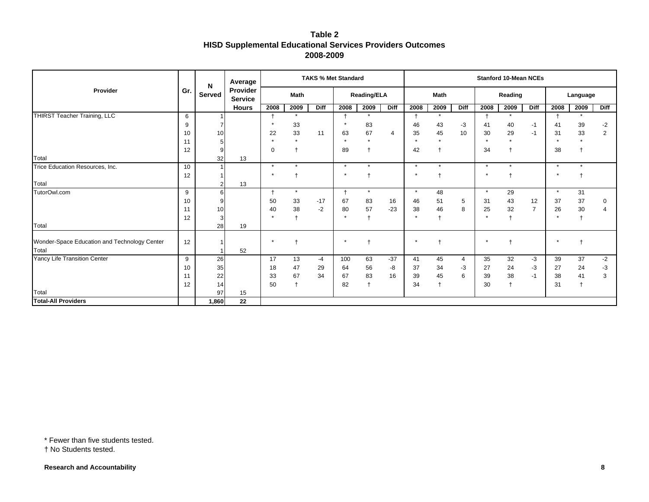|                                              |     | N             | Average                    |                |                 | <b>TAKS % Met Standard</b> |            |                      |             |         |             |             |                | <b>Stanford 10-Mean NCEs</b> |                |         |                |                |
|----------------------------------------------|-----|---------------|----------------------------|----------------|-----------------|----------------------------|------------|----------------------|-------------|---------|-------------|-------------|----------------|------------------------------|----------------|---------|----------------|----------------|
| Provider                                     | Gr. | <b>Served</b> | Provider<br><b>Service</b> |                | <b>Math</b>     |                            |            | <b>Reading/ELA</b>   |             |         | <b>Math</b> |             |                | Reading                      |                |         | Language       |                |
|                                              |     |               | <b>Hours</b>               | 2008           | 2009            | <b>Diff</b>                | 2008       | 2009                 | <b>Diff</b> | 2008    | 2009        | <b>Diff</b> | 2008           | 2009                         | <b>Diff</b>    | 2008    | 2009           | <b>Diff</b>    |
| THIRST Teacher Training, LLC                 | 6   |               |                            |                | $\star$         |                            |            |                      |             |         | $\star$     |             |                | $\star$                      |                |         | $\star$        |                |
|                                              | 9   |               |                            |                | 33              |                            |            | 83                   |             | 46      | 43          | -3          | 41             | 40                           | $-1$           | 41      | 39             | $-2$           |
|                                              | 10  | 10            |                            | 22             | 33              | 11                         | 63         | 67                   | 4           | 35      | 45          | 10          | 30             | 29                           | $-1$           | 31      | 33             | $\overline{2}$ |
|                                              | 11  |               |                            |                |                 |                            | $\star$    |                      |             |         |             |             | $\overline{ }$ |                              |                |         | $\star$        |                |
|                                              | 12  | 9             |                            | $\Omega$       | $\ddagger$      |                            | 89         |                      |             | 42      |             |             | 34             |                              |                | 38      |                |                |
| <b>Total</b>                                 |     | 32            | 13                         |                |                 |                            |            |                      |             |         |             |             |                |                              |                |         |                |                |
| Trice Education Resources, Inc.              | 10  |               |                            | $\star$        | $\star$         |                            | $\star$    | $\ddot{\phantom{1}}$ |             | $\star$ | $\star$     |             | $\star$        | $\star$                      |                | $\star$ | $\star$        |                |
|                                              | 12  |               |                            |                |                 |                            |            |                      |             |         |             |             |                |                              |                |         |                |                |
| Total                                        |     |               | 13                         |                |                 |                            |            |                      |             |         |             |             |                |                              |                |         |                |                |
| TutorOwl.com                                 | 9   | 61            |                            | $\overline{+}$ | $\star$         |                            | $\ddagger$ | $\star$              |             | $\star$ | 48          |             | $\star$        | 29                           |                | $\star$ | 31             |                |
|                                              | 10  |               |                            | 50             | 33              | $-17$                      | 67         | 83                   | 16          | 46      | 51          | 5           | 31             | 43                           | 12             | 37      | 37             | $\Omega$       |
|                                              | 11  | 10            |                            | 40             | 38              | $-2$                       | 80         | 57                   | $-23$       | 38      | 46          | 8           | 25             | 32                           | $\overline{7}$ | 26      | 30             |                |
|                                              | 12  | 3I            |                            |                | $\ddot{}$       |                            | $\star$    |                      |             |         | $\ddagger$  |             | $\star$        |                              |                | $\star$ | $\overline{+}$ |                |
| Total                                        |     | 28            | 19                         |                |                 |                            |            |                      |             |         |             |             |                |                              |                |         |                |                |
|                                              |     |               |                            |                |                 |                            |            |                      |             |         |             |             |                |                              |                |         |                |                |
| Wonder-Space Education and Technology Center | 12  |               |                            |                |                 |                            |            |                      |             |         |             |             |                |                              |                |         |                |                |
| Total                                        |     |               | 52                         |                |                 |                            |            |                      |             |         |             |             |                |                              |                |         |                |                |
| Yancy Life Transition Center                 | 9   | 26            |                            | 17             | 13              | $-4$                       | 100        | 63                   | $-37$       | 41      | 45          | 4           | 35             | 32                           | $-3$           | 39      | 37             | $-2$           |
|                                              | 10  | 35            |                            | 18             | 47              | 29                         | 64         | 56                   | -8          | 37      | 34          | $-3$        | 27             | 24                           | -3             | 27      | 24             | -3             |
|                                              | 11  | 22            |                            | 33             | 67              | 34                         | 67         | 83<br>$\ddot{}$      | 16          | 39      | 45          | 6           | 39             | 38                           | $-1$           | 38      | 41             |                |
|                                              | 12  | 14            |                            | 50             | $^{\mathrm{+}}$ |                            | 82         |                      |             | 34      | $\ddagger$  |             | 30             |                              |                | 31      |                |                |
| Total                                        |     | 97            | 15                         |                |                 |                            |            |                      |             |         |             |             |                |                              |                |         |                |                |
| <b>Total-All Providers</b>                   |     | 1,860         | 22                         |                |                 |                            |            |                      |             |         |             |             |                |                              |                |         |                |                |

\* Fewer than five students tested.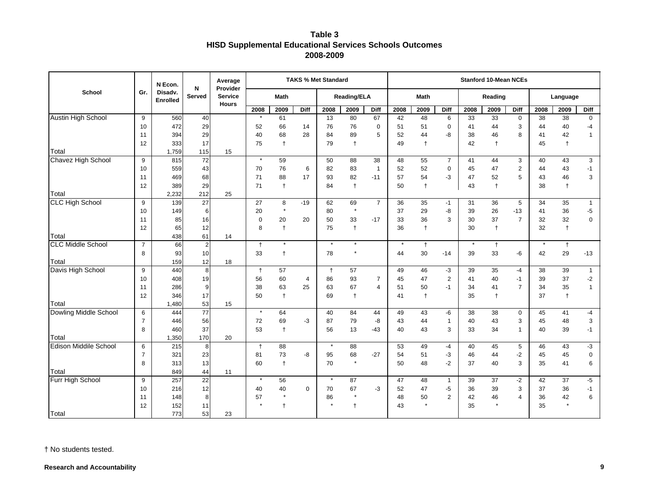# **Table 3 HISD Supplemental Educational Services Schools Outcomes 2008-2009**

|                                   |                | N Econ.                    | N              | Average<br>Provider            |             |              |             | <b>TAKS % Met Standard</b> |                    |                |      |                  |                |         | <b>Stanford 10-Mean NCEs</b> |                |      |            |              |
|-----------------------------------|----------------|----------------------------|----------------|--------------------------------|-------------|--------------|-------------|----------------------------|--------------------|----------------|------|------------------|----------------|---------|------------------------------|----------------|------|------------|--------------|
| <b>School</b>                     | Gr.            | Disadv.<br><b>Enrolled</b> | <b>Served</b>  | <b>Service</b><br><b>Hours</b> |             | <b>Math</b>  |             |                            | <b>Reading/ELA</b> |                |      | <b>Math</b>      |                |         | Reading                      |                |      | Language   |              |
|                                   |                |                            |                |                                | 2008        | 2009         | Diff        | 2008                       | 2009               | Diff           | 2008 | 2009             | Diff           | 2008    | 2009                         | Diff           | 2008 | 2009       | Diff         |
| Austin High School                | 9              | 560                        | 40             |                                |             | 61           |             | 13                         | 80                 | 67             | 42   | 48               | 6              | 33      | 33                           | $\mathbf 0$    | 38   | 38         | $\mathbf 0$  |
|                                   | 10             | 472                        | 29             |                                | 52          | 66           | 14          | 76                         | 76                 | $\mathbf 0$    | 51   | 51               | $\mathbf 0$    | 41      | 44                           | 3              | 44   | 40         | $-4$         |
|                                   | 11             | 394                        | 29             |                                | 40          | 68           | 28          | 84                         | 89                 | 5              | 52   | 44               | -8             | 38      | 46                           | 8              | 41   | 42         | $\mathbf{1}$ |
|                                   | 12             | 333                        | 17             |                                | 75          | $\ddagger$   |             | 79                         | $\ddagger$         |                | 49   | $\ddagger$       |                | 42      | $\ddagger$                   |                | 45   | $\ddagger$ |              |
| Total                             |                | 1,759                      | 115            | 15                             |             |              |             |                            |                    |                |      |                  |                |         |                              |                |      |            |              |
| Chavez High School                | 9              | 815                        | 72             |                                | $\star$     | 59           |             | 50                         | 88                 | 38             | 48   | 55               | $\overline{7}$ | 41      | 44                           | 3              | 40   | 43         | 3            |
|                                   | 10             | 559                        | 43             |                                | 70          | 76           | 6           | 82                         | 83                 | $\overline{1}$ | 52   | 52               | $\mathbf 0$    | 45      | 47                           | $\overline{2}$ | 44   | 43         | $-1$         |
|                                   | 11             | 469                        | 68             |                                | 71          | 88           | 17          | 93                         | 82                 | $-11$          | 57   | 54               | -3             | 47      | 52                           | 5              | 43   | 46         | 3            |
|                                   | 12             | 389                        | 29             |                                | 71          | $\ddagger$   |             | 84                         | $\ddagger$         |                | 50   | $\ddagger$       |                | 43      | $\ddagger$                   |                | 38   | $\ddagger$ |              |
| Total                             |                | 2,232                      | 212            | 25                             |             |              |             |                            |                    |                |      |                  |                |         |                              |                |      |            |              |
| <b>CLC High School</b>            | 9              | 139                        | 27             |                                | 27          | 8<br>$\star$ | $-19$       | 62                         | 69<br>$^\star$     | $\overline{7}$ | 36   | 35               | $-1$           | 31      | 36                           | 5              | 34   | 35         | $\mathbf{1}$ |
|                                   | 10             | 149                        | 6              |                                | 20          |              |             | 80                         |                    |                | 37   | 29               | -8             | 39      | 26                           | $-13$          | 41   | 36         | $-5$         |
|                                   | 11             | 85                         | 16             |                                | $\mathbf 0$ | 20           | 20          | 50                         | 33                 | $-17$          | 33   | 36               | 3              | 30      | 37                           | $\overline{7}$ | 32   | 32         | $\mathbf 0$  |
|                                   | 12             | 65                         | 12             |                                | 8           | $\ddagger$   |             | 75                         | $\ddagger$         |                | 36   | $\ddagger$       |                | 30      | $\ddagger$                   |                | 32   | $\ddagger$ |              |
| Total<br><b>CLC Middle School</b> |                | 438                        | 61             | 14                             |             | $\star$      |             | $\star$                    | $^\star$           |                |      |                  |                | $\star$ |                              |                |      |            |              |
|                                   | $\overline{7}$ | 66                         | $\overline{c}$ |                                | $\ddagger$  |              |             | 78                         | $\star$            |                | 44   | $\ddagger$<br>30 |                |         | $\ddagger$<br>33             |                |      | $^\dagger$ |              |
| Total                             | 8              | 93<br>159                  | 10<br>12       | 18                             | 33          | $\ddagger$   |             |                            |                    |                |      |                  | $-14$          | 39      |                              | -6             | 42   | 29         | $-13$        |
| Davis High School                 | 9              | 440                        | 8              |                                | $\ddagger$  | 57           |             | $\ddagger$                 | 57                 |                | 49   | 46               | $-3$           | 39      | 35                           | -4             | 38   | 39         | $\mathbf{1}$ |
|                                   | 10             | 408                        | 19             |                                | 56          | 60           | 4           | 86                         | 93                 | $\overline{7}$ | 45   | 47               | 2              | 41      | 40                           | $-1$           | 39   | 37         | $-2$         |
|                                   | 11             | 286                        | 9              |                                | 38          | 63           | 25          | 63                         | 67                 | $\overline{4}$ | 51   | 50               | $-1$           | 34      | 41                           | $\overline{7}$ | 34   | 35         | $\mathbf{1}$ |
|                                   | 12             | 346                        | 17             |                                | 50          | $\ddagger$   |             | 69                         | $\ddagger$         |                | 41   | $\ddagger$       |                | 35      | $\ddagger$                   |                | 37   | $\ddagger$ |              |
| Total                             |                | 1,480                      | 53             | 15                             |             |              |             |                            |                    |                |      |                  |                |         |                              |                |      |            |              |
| Dowling Middle School             | 6              | 444                        | 77             |                                | $\star$     | 64           |             | 40                         | 84                 | 44             | 49   | 43               | -6             | 38      | 38                           | $\mathbf 0$    | 45   | 41         | $-4$         |
|                                   | $\overline{7}$ | 446                        | 56             |                                | 72          | 69           | -3          | 87                         | 79                 | -8             | 43   | 44               | $\mathbf{1}$   | 40      | 43                           | 3              | 45   | 48         | 3            |
|                                   | 8              | 460                        | 37             |                                | 53          | $\ddagger$   |             | 56                         | 13                 | $-43$          | 40   | 43               | 3              | 33      | 34                           | 1              | 40   | 39         | $-1$         |
| Total                             |                | 1,350                      | 170            | 20                             |             |              |             |                            |                    |                |      |                  |                |         |                              |                |      |            |              |
| <b>Edison Middile School</b>      | 6              | 215                        | 8              |                                | $\ddagger$  | 88           |             | $\star$                    | 88                 |                | 53   | 49               | -4             | 40      | 45                           | 5              | 46   | 43         | $-3$         |
|                                   | $\overline{7}$ | 321                        | 23             |                                | 81          | 73           | -8          | 95                         | 68                 | $-27$          | 54   | 51               | -3             | 46      | 44                           | $-2$           | 45   | 45         | $\mathbf 0$  |
|                                   | 8              | 313                        | 13             |                                | 60          | $\ddagger$   |             | 70                         | $\star$            |                | 50   | 48               | $-2$           | 37      | 40                           | 3              | 35   | 41         | 6            |
| Total                             |                | 849                        | 44             | 11                             |             |              |             |                            |                    |                |      |                  |                |         |                              |                |      |            |              |
| Furr High School                  | 9              | 257                        | 22             |                                | $\star$     | 56           |             | $\star$                    | 87                 |                | 47   | 48               | $\mathbf{1}$   | 39      | 37                           | $-2$           | 42   | 37         | $-5$         |
|                                   | 10             | 216                        | 12             |                                | 40          | 40           | $\mathbf 0$ | 70                         | 67                 | -3             | 52   | 47               | -5             | 36      | 39                           | 3              | 37   | 36         | $-1$         |
|                                   | 11             | 148                        | 8              |                                | 57          | $\star$      |             | 86                         | $\star$            |                | 48   | 50               | $\overline{2}$ | 42      | 46                           | 4              | 36   | 42         | 6            |
|                                   | 12             | 152                        | 11             |                                |             | $\ddagger$   |             |                            | $\ddagger$         |                | 43   |                  |                | 35      | $\star$                      |                | 35   | $\star$    |              |
| Total                             |                | 773                        | 53             | 23                             |             |              |             |                            |                    |                |      |                  |                |         |                              |                |      |            |              |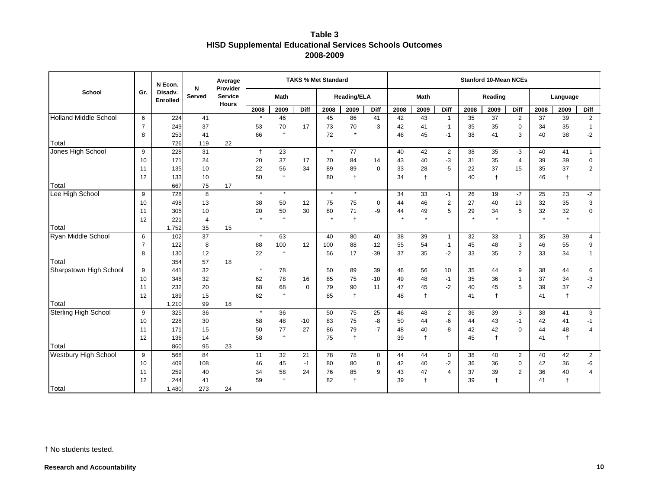# **Table 3 HISD Supplemental Educational Services Schools Outcomes 2008-2009**

|                              |                | N Econ.                    | N             | Average<br>Provider            |               |                       |             | <b>TAKS % Met Standard</b> |                    |                |               |               |                |               | <b>Stanford 10-Mean NCEs</b> |                |               |               |                          |
|------------------------------|----------------|----------------------------|---------------|--------------------------------|---------------|-----------------------|-------------|----------------------------|--------------------|----------------|---------------|---------------|----------------|---------------|------------------------------|----------------|---------------|---------------|--------------------------|
| School                       | Gr.            | Disadv.<br><b>Enrolled</b> | <b>Served</b> | <b>Service</b><br><b>Hours</b> |               | Math                  |             |                            | <b>Reading/ELA</b> |                |               | <b>Math</b>   |                |               | Reading                      |                |               | Language      |                          |
|                              |                |                            |               |                                | 2008          | 2009                  | Diff        | 2008                       | 2009               | Diff           | 2008          | 2009          | Diff           | 2008          | 2009                         | Diff           | 2008          | 2009          | Diff                     |
| <b>Holland Middle School</b> | 6              | 224                        | 41            |                                |               | 46                    |             | 45                         | 86                 | 41             | 42            | 43            | $\overline{1}$ | 35            | 37                           | $\overline{2}$ | 37            | 39            | $\overline{2}$           |
|                              | $\overline{7}$ | 249                        | 37            |                                | 53            | 70                    | 17          | 73                         | 70                 | $-3$           | 42            | 41            | $-1$           | 35            | 35                           | $\mathbf 0$    | 34            | 35            | $\mathbf{1}$             |
|                              | 8              | 253                        | 41            |                                | 66            | $\overline{1}$        |             | 72                         | $\star$            |                | 46            | 45            | $-1$           | 38            | 41                           | 3              | 40            | 38            | -2                       |
| Total                        |                | 726                        | 119           | 22                             |               |                       |             |                            |                    |                |               |               |                |               |                              |                |               |               |                          |
| Jones High School            | 9              | 228                        | 31            |                                | $\ddagger$    | 23                    |             | $\star$                    | 77                 |                | 40            | 42            | $\overline{2}$ | 38            | 35                           | $-3$           | 40            | 41            | $\mathbf{1}$             |
|                              | 10             | 171                        | 24            |                                | 20            | 37                    | 17          | 70                         | 84                 | 14             | 43            | 40            | -3             | 31            | 35                           | 4              | 39            | 39            | $\pmb{0}$                |
|                              | 11             | 135                        | 10            |                                | 22            | 56                    | 34          | 89                         | 89                 | $\Omega$       | 33            | 28            | $-5$           | 22            | 37                           | 15             | 35            | 37            | $\overline{2}$           |
|                              | 12             | 133                        | 10            |                                | 50            | $\ddagger$            |             | 80                         | $\ddagger$         |                | 34            | $\ddagger$    |                | 40            | $\ddagger$                   |                | 46            | $\ddagger$    |                          |
| Total                        |                | 667                        | 75            | 17                             | $\star$       | $\star$               |             |                            |                    |                |               |               |                |               |                              |                |               |               |                          |
| Lee High School              | 9              | 728                        | 8             |                                |               |                       |             | $\star$                    | $\star$            |                | 34            | 33            | $-1$           | 26            | 19                           | $-7$           | 25            | 23            | $-2$                     |
|                              | 10             | 498                        | 13            |                                | 38            | 50                    | 12          | 75                         | 75                 | $\mathbf 0$    | 44            | 46            | $\overline{2}$ | 27            | 40                           | 13             | 32            | 35            | 3                        |
|                              | 11             | 305                        | 10            |                                | 20<br>$\star$ | 50                    | 30          | 80                         | 71                 | -9             | 44<br>$\star$ | 49<br>$\star$ | 5              | 29<br>$\star$ | 34<br>$\star$                | 5              | 32<br>$\star$ | 32<br>$\star$ | $\overline{0}$           |
|                              | 12             | 221                        | 4             |                                |               |                       |             |                            | $\ddagger$         |                |               |               |                |               |                              |                |               |               |                          |
| Total                        |                | 1,752                      | 35            | 15                             | $\star$       |                       |             |                            |                    |                |               |               |                |               |                              |                |               |               |                          |
| Ryan Middle School           | 6              | 102                        | 37            |                                |               | 63                    |             | 40                         | 80                 | 40             | 38            | 39            | $\overline{1}$ | 32            | 33                           | $\mathbf{1}$   | 35            | 39            | 4                        |
|                              | $\overline{7}$ | 122<br>130                 | 8             |                                | 88            | 100<br>$\overline{1}$ | 12          | 100<br>56                  | 88<br>17           | $-12$<br>$-39$ | 55<br>37      | 54<br>35      | $-1$           | 45<br>33      | 48<br>35                     | 3              | 46<br>33      | 55<br>34      | 9<br>$\mathbf{1}$        |
| Total                        | 8              | 354                        | 12<br>57      | 18                             | 22            |                       |             |                            |                    |                |               |               | $-2$           |               |                              | $\overline{2}$ |               |               |                          |
| Sharpstown High School       | 9              | 441                        | 32            |                                | $\star$       | 78                    |             | 50                         | 89                 | 39             | 46            | 56            | 10             | 35            | 44                           | 9              | 38            | 44            | 6                        |
|                              | 10             | 348                        | 32            |                                | 62            | 78                    | 16          | 85                         | 75                 | $-10$          | 49            | 48            | $-1$           | 35            | 36                           | -1             | 37            | 34            | $-3$                     |
|                              | 11             | 232                        | 20            |                                | 68            | 68                    | $\mathbf 0$ | 79                         | 90                 | 11             | 47            | 45            | $-2$           | 40            | 45                           | 5              | 39            | 37            | $-2$                     |
|                              | 12             | 189                        | 15            |                                | 62            | $\ddagger$            |             | 85                         | $^\dagger$         |                | 48            | $^\dagger$    |                | 41            | $\ddagger$                   |                | 41            | $\ddagger$    |                          |
| Total                        |                | 1,210                      | 99            | 18                             |               |                       |             |                            |                    |                |               |               |                |               |                              |                |               |               |                          |
| <b>Sterling High School</b>  | 9              | 325                        | 36            |                                | $\star$       | 36                    |             | 50                         | 75                 | 25             | 46            | 48            | 2              | 36            | 39                           | 3              | 38            | 41            | 3                        |
|                              | 10             | 228                        | 30            |                                | 58            | 48                    | $-10$       | 83                         | 75                 | -8             | 50            | 44            | -6             | 44            | 43                           | $-1$           | 42            | 41            | $-1$                     |
|                              | 11             | 171                        | 15            |                                | 50            | 77                    | 27          | 86                         | 79                 | $-7$           | 48            | 40            | -8             | 42            | 42                           | $\Omega$       | 44            | 48            | $\overline{\mathcal{A}}$ |
|                              | 12             | 136                        | 14            |                                | 58            | $\ddagger$            |             | 75                         | $\ddagger$         |                | 39            | $\ddagger$    |                | 45            | $\ddagger$                   |                | 41            | $\ddagger$    |                          |
| Total                        |                | 860                        | 95            | 23                             |               |                       |             |                            |                    |                |               |               |                |               |                              |                |               |               |                          |
| <b>Westbury High School</b>  | 9              | 568                        | 84            |                                | 11            | 32                    | 21          | 78                         | 78                 | $\mathbf 0$    | 44            | 44            | $\mathbf 0$    | 38            | 40                           | $\overline{2}$ | 40            | 42            | $\overline{2}$           |
|                              | 10             | 409                        | 108           |                                | 46            | 45                    | $-1$        | 80                         | 80                 | $\mathbf 0$    | 42            | 40            | $-2$           | 36            | 36                           | $\mathbf 0$    | 42            | 36            | -6                       |
|                              | 11             | 259                        | 40            |                                | 34            | 58                    | 24          | 76                         | 85                 | 9              | 43            | 47            | $\overline{4}$ | 37            | 39                           | $\overline{2}$ | 36            | 40            | 4                        |
|                              | 12             | 244                        | 41            |                                | 59            | $\ddagger$            |             | 82                         | $\ddagger$         |                | 39            | $\ddagger$    |                | 39            | $\ddagger$                   |                | 41            | $\ddagger$    |                          |
| Total                        |                | 1,480                      | 273           | 24                             |               |                       |             |                            |                    |                |               |               |                |               |                              |                |               |               |                          |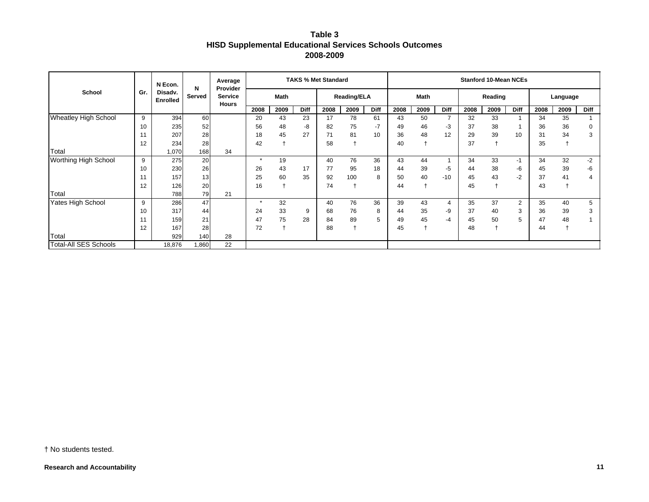| Table 3                                                 |
|---------------------------------------------------------|
| HISD Supplemental Educational Services Schools Outcomes |
| 2008-2009                                               |

| School                       | Gr. | N Econ.<br>Disadv.<br><b>Enrolled</b> | N<br>Served | Average<br>Provider            | <b>TAKS % Met Standard</b> |      |             |                    |      |             |             | <b>Stanford 10-Mean NCEs</b> |                |         |                |      |          |      |             |  |  |
|------------------------------|-----|---------------------------------------|-------------|--------------------------------|----------------------------|------|-------------|--------------------|------|-------------|-------------|------------------------------|----------------|---------|----------------|------|----------|------|-------------|--|--|
|                              |     |                                       |             | <b>Service</b><br><b>Hours</b> | Math                       |      |             | <b>Reading/ELA</b> |      |             | <b>Math</b> |                              |                | Reading |                |      | Language |      |             |  |  |
|                              |     |                                       |             |                                | 2008                       | 2009 | <b>Diff</b> | 2008               | 2009 | <b>Diff</b> | 2008        | 2009                         | Diff           | 2008    | 2009           | Diff | 2008     | 2009 | <b>Diff</b> |  |  |
| <b>Wheatley High School</b>  | 9   | 394                                   | 60          |                                | 20                         | 43   | 23          | 17                 | 78   | 61          | 43          | 50                           | $\overline{7}$ | 32      | 33             |      | 34       | 35   |             |  |  |
|                              | 10  | 235                                   | 52          |                                | 56                         | 48   | -8          | 82                 | 75   | $-7$        | 49          | 46                           | -3             | 37      | 38             |      | 36       | 36   |             |  |  |
|                              |     | 207                                   | 28          |                                | 18                         | 45   | 27          | 71                 | 81   | 10          | 36          | 48                           | 12             | 29      | 39             | 10   | 31       | 34   |             |  |  |
|                              | 12  | 234                                   | 28          |                                | 42                         |      |             | 58                 |      |             | 40          |                              |                | 37      | $\overline{1}$ |      | 35       |      |             |  |  |
| Total                        |     | 1,070                                 | 168         | 34                             |                            |      |             |                    |      |             |             |                              |                |         |                |      |          |      |             |  |  |
| Worthing High School         | 9   | 275                                   | 20          |                                | $\star$                    | 19   |             | 40                 | 76   | 36          | 43          | 44                           |                | 34      | 33             | $-1$ | 34       | 32   | $-2$        |  |  |
|                              | 10  | 230                                   | 26          |                                | 26                         | 43   | 17          | 77                 | 95   | 18          | 44          | 39                           | -5             | 44      | 38             | -6   | 45       | 39   | -6          |  |  |
|                              |     | 157                                   | 13          |                                | 25                         | 60   | 35          | 92                 | 100  | 8           | 50          | 40                           | $-10$          | 45      | 43             | -2   | 37       | 41   |             |  |  |
|                              | 12  | 126                                   | 20          |                                | 16                         |      |             | 74                 |      |             | 44          |                              |                | 45      |                |      | 43       |      |             |  |  |
| Total                        |     | 788                                   | 79          | 21                             |                            |      |             |                    |      |             |             |                              |                |         |                |      |          |      |             |  |  |
| Yates High School            | 9   | 286                                   | 47          |                                | $\star$                    | 32   |             | 40                 | 76   | 36          | 39          | 43                           | 4              | 35      | 37             | 2    | 35       | 40   | 5           |  |  |
|                              | 10  | 317                                   | 44          |                                | 24                         | 33   | 9           | 68                 | 76   | 8           | 44          | 35                           | -9             | 37      | 40             | 3    | 36       | 39   |             |  |  |
|                              | 11  | 159                                   | 21          |                                | 47                         | 75   | 28          | 84                 | 89   | 5           | 49          | 45                           | -4             | 45      | 50             | 5    | 47       | 48   |             |  |  |
|                              | 12  | 167                                   | 28          |                                | 72                         |      |             | 88                 |      |             | 45          |                              |                | 48      |                |      | 44       |      |             |  |  |
| Total                        |     | 929                                   | 140         | 28                             |                            |      |             |                    |      |             |             |                              |                |         |                |      |          |      |             |  |  |
| <b>Total-All SES Schools</b> |     | 18,876                                | 1,860       | 22                             |                            |      |             |                    |      |             |             |                              |                |         |                |      |          |      |             |  |  |